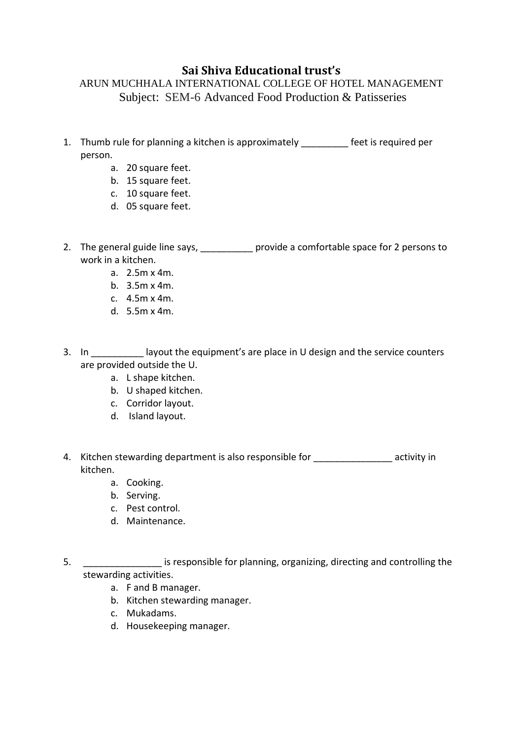## **Sai Shiva Educational trust's**

## ARUN MUCHHALA INTERNATIONAL COLLEGE OF HOTEL MANAGEMENT Subject: SEM-6 Advanced Food Production & Patisseries

- 1. Thumb rule for planning a kitchen is approximately \_\_\_\_\_\_\_\_\_ feet is required per person.
	- a. 20 square feet.
	- b. 15 square feet.
	- c. 10 square feet.
	- d. 05 square feet.
- 2. The general guide line says, example provide a comfortable space for 2 persons to work in a kitchen.
	- a. 2.5m x 4m.
	- b. 3.5m x 4m.
	- c. 4.5m x 4m.
	- d. 5.5m x 4m.
- 3. In layout the equipment's are place in U design and the service counters are provided outside the U.
	- a. L shape kitchen.
	- b. U shaped kitchen.
	- c. Corridor layout.
	- d. Island layout.
- 4. Kitchen stewarding department is also responsible for activity in kitchen.
	- a. Cooking.
	- b. Serving.
	- c. Pest control.
	- d. Maintenance.
- 5. \_\_\_\_\_\_\_\_\_\_\_\_\_\_\_ is responsible for planning, organizing, directing and controlling the stewarding activities.
	- a. F and B manager.
	- b. Kitchen stewarding manager.
	- c. Mukadams.
	- d. Housekeeping manager.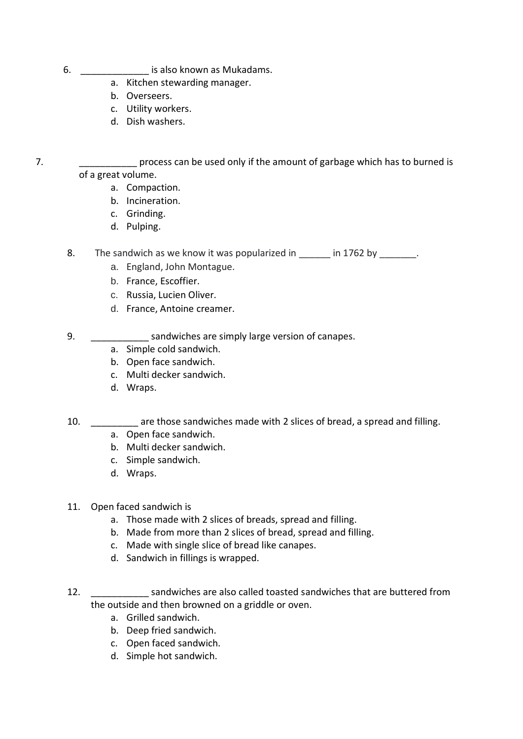- 6. \_\_\_\_\_\_\_\_\_\_\_\_\_ is also known as Mukadams.
	- a. Kitchen stewarding manager.
	- b. Overseers.
	- c. Utility workers.
	- d. Dish washers.
- 7. \_\_\_\_\_\_\_\_\_\_\_ process can be used only if the amount of garbage which has to burned is of a great volume.
	- a. Compaction.
	- b. Incineration.
	- c. Grinding.
	- d. Pulping.

8. The sandwich as we know it was popularized in \_\_\_\_\_ in 1762 by \_\_\_\_\_\_\_.

- a. England, John Montague.
- b. France, Escoffier.
- c. Russia, Lucien Oliver.
- d. France, Antoine creamer.
- 9. Sandwiches are simply large version of canapes.
	- a. Simple cold sandwich.
	- b. Open face sandwich.
	- c. Multi decker sandwich.
	- d. Wraps.
- 10. \_\_\_\_\_\_\_\_\_ are those sandwiches made with 2 slices of bread, a spread and filling.
	- a. Open face sandwich.
	- b. Multi decker sandwich.
	- c. Simple sandwich.
	- d. Wraps.
- 11. Open faced sandwich is
	- a. Those made with 2 slices of breads, spread and filling.
	- b. Made from more than 2 slices of bread, spread and filling.
	- c. Made with single slice of bread like canapes.
	- d. Sandwich in fillings is wrapped.
- 12. \_\_\_\_\_\_\_\_\_\_\_ sandwiches are also called toasted sandwiches that are buttered from the outside and then browned on a griddle or oven.
	- a. Grilled sandwich.
	- b. Deep fried sandwich.
	- c. Open faced sandwich.
	- d. Simple hot sandwich.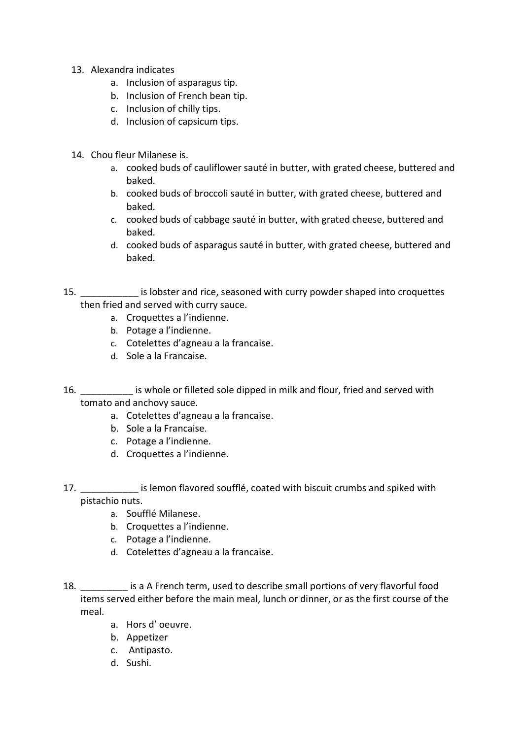- 13. Alexandra indicates
	- a. Inclusion of asparagus tip.
	- b. Inclusion of French bean tip.
	- c. Inclusion of chilly tips.
	- d. Inclusion of capsicum tips.
- 14. Chou fleur Milanese is.
	- a. cooked buds of cauliflower sauté in butter, with grated cheese, buttered and baked.
	- b. cooked buds of broccoli sauté in butter, with grated cheese, buttered and baked.
	- c. cooked buds of cabbage sauté in butter, with grated cheese, buttered and baked.
	- d. cooked buds of asparagus sauté in butter, with grated cheese, buttered and baked.
- 15. \_\_\_\_\_\_\_\_\_\_\_ is lobster and rice, seasoned with curry powder shaped into croquettes then fried and served with curry sauce.
	- a. Croquettes a l'indienne.
	- b. Potage a l'indienne.
	- c. Cotelettes d'agneau a la francaise.
	- d. Sole a la Francaise.
- 16. **Example 16** is whole or filleted sole dipped in milk and flour, fried and served with tomato and anchovy sauce.
	- a. Cotelettes d'agneau a la francaise.
	- b. Sole a la Francaise.
	- c. Potage a l'indienne.
	- d. Croquettes a l'indienne.
- 17. **Example 12** is lemon flavored soufflé, coated with biscuit crumbs and spiked with pistachio nuts.
	- a. Soufflé Milanese.
	- b. Croquettes a l'indienne.
	- c. Potage a l'indienne.
	- d. Cotelettes d'agneau a la francaise.
- 18. \_\_\_\_\_\_\_\_\_ is a A French term, used to describe small portions of very flavorful food items served either before the main meal, lunch or dinner, or as the first course of the meal.
	- a. Hors d' oeuvre.
	- b. Appetizer
	- c. Antipasto.
	- d. Sushi.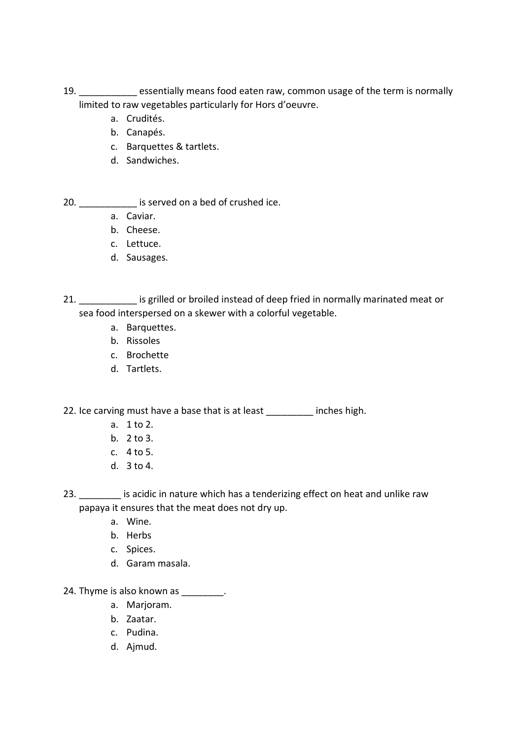- 19. \_\_\_\_\_\_\_\_\_\_\_ essentially means food eaten raw, common usage of the term is normally limited to raw vegetables particularly for Hors d'oeuvre.
	- a. Crudités.
	- b. Canapés.
	- c. Barquettes & tartlets.
	- d. Sandwiches.

20. \_\_\_\_\_\_\_\_\_\_\_ is served on a bed of crushed ice.

- a. Caviar.
- b. Cheese.
- c. Lettuce.
- d. Sausages.

21. **Example 12** is grilled or broiled instead of deep fried in normally marinated meat or sea food interspersed on a skewer with a colorful vegetable.

- a. Barquettes.
- b. Rissoles
- c. Brochette
- d. Tartlets.

22. Ice carving must have a base that is at least inches high.

- a. 1 to 2.
- b. 2 to 3.
- c. 4 to 5.
- d. 3 to 4.

23. **Example 23.** Is acidic in nature which has a tenderizing effect on heat and unlike raw papaya it ensures that the meat does not dry up.

- a. Wine.
- b. Herbs
- c. Spices.
- d. Garam masala.

24. Thyme is also known as  $\qquad \qquad$ .

- a. Marjoram.
- b. Zaatar.
- c. Pudina.
- d. Ajmud.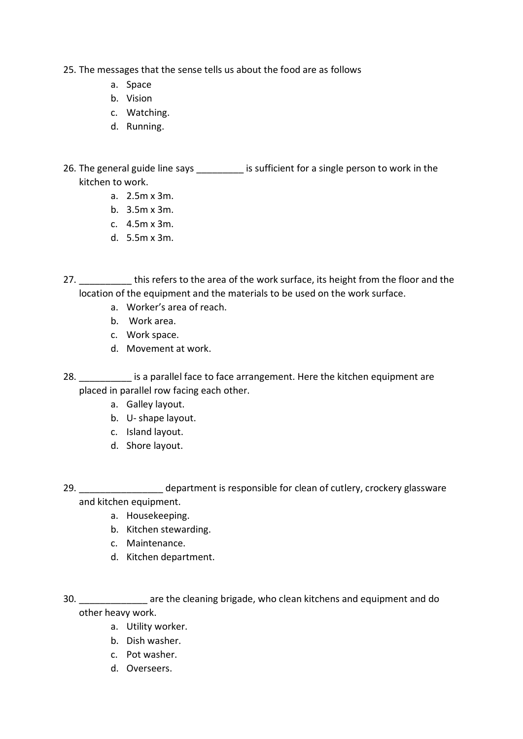- 25. The messages that the sense tells us about the food are as follows
	- a. Space
	- b. Vision
	- c. Watching.
	- d. Running.

26. The general guide line says \_\_\_\_\_\_\_\_\_\_ is sufficient for a single person to work in the kitchen to work.

- a. 2.5m x 3m.
- b. 3.5m x 3m.
- c. 4.5m x 3m.
- d. 5.5m x 3m.

27. **Example 27** this refers to the area of the work surface, its height from the floor and the location of the equipment and the materials to be used on the work surface.

- a. Worker's area of reach.
- b. Work area.
- c. Work space.
- d. Movement at work.

28. \_\_\_\_\_\_\_\_\_\_\_ is a parallel face to face arrangement. Here the kitchen equipment are placed in parallel row facing each other.

- a. Galley layout.
- b. U- shape layout.
- c. Island layout.
- d. Shore layout.

29. **Example 29.** department is responsible for clean of cutlery, crockery glassware and kitchen equipment.

- a. Housekeeping.
- b. Kitchen stewarding.
- c. Maintenance.
- d. Kitchen department.

30. \_\_\_\_\_\_\_\_\_\_\_\_\_ are the cleaning brigade, who clean kitchens and equipment and do other heavy work.

- a. Utility worker.
- b. Dish washer.
- c. Pot washer.
- d. Overseers.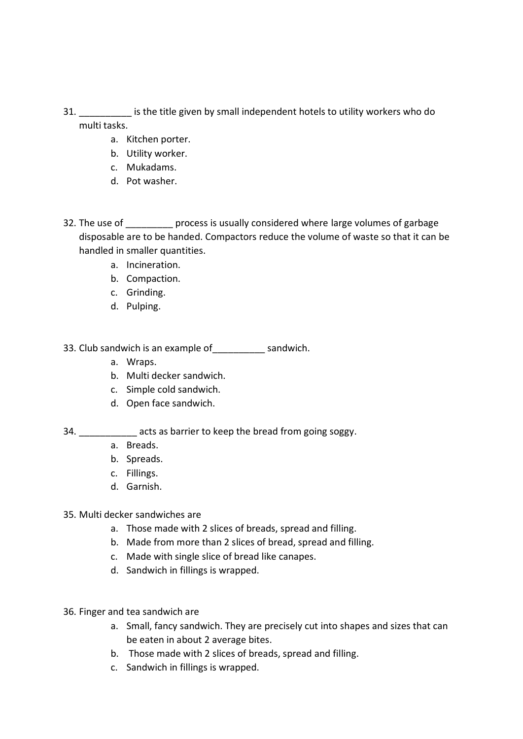- 31. \_\_\_\_\_\_\_\_\_\_ is the title given by small independent hotels to utility workers who do multi tasks.
	- a. Kitchen porter.
	- b. Utility worker.
	- c. Mukadams.
	- d. Pot washer.
- 32. The use of process is usually considered where large volumes of garbage disposable are to be handed. Compactors reduce the volume of waste so that it can be handled in smaller quantities.
	- a. Incineration.
	- b. Compaction.
	- c. Grinding.
	- d. Pulping.

33. Club sandwich is an example of\_\_\_\_\_\_\_\_\_\_ sandwich.

- a. Wraps.
- b. Multi decker sandwich.
- c. Simple cold sandwich.
- d. Open face sandwich.

34. \_\_\_\_\_\_\_\_\_\_\_\_\_ acts as barrier to keep the bread from going soggy.

- a. Breads.
- b. Spreads.
- c. Fillings.
- d. Garnish.
- 35. Multi decker sandwiches are
	- a. Those made with 2 slices of breads, spread and filling.
	- b. Made from more than 2 slices of bread, spread and filling.
	- c. Made with single slice of bread like canapes.
	- d. Sandwich in fillings is wrapped.
- 36. Finger and tea sandwich are
	- a. Small, fancy sandwich. They are precisely cut into shapes and sizes that can be eaten in about 2 average bites.
	- b. Those made with 2 slices of breads, spread and filling.
	- c. Sandwich in fillings is wrapped.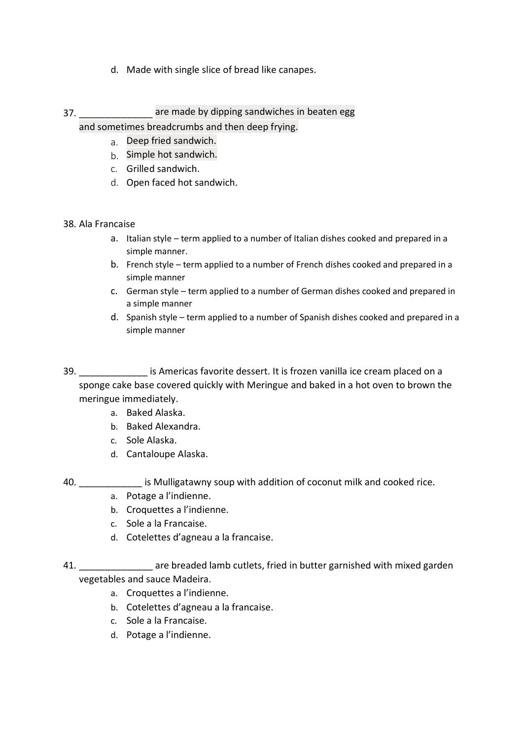- d. Made with single slice of bread like canapes.
- 37. \_\_\_\_\_\_\_\_\_\_\_\_\_\_ are made by dipping sandwiches in beaten egg

and sometimes breadcrumbs and then deep frying.

- a. Deep fried sandwich.
- b. Simple hot sandwich.
- c. Grilled sandwich.
- d. Open faced hot sandwich.

## 38. Ala Francaise

- a. Italian style term applied to a number of Italian dishes cooked and prepared in a simple manner.
- b. French style term applied to a number of French dishes cooked and prepared in a simple manner
- c. German style term applied to a number of German dishes cooked and prepared in a simple manner
- d. Spanish style term applied to a number of Spanish dishes cooked and prepared in a simple manner
- 39. **Example 20 is Americas favorite dessert. It is frozen vanilla ice cream placed on a** sponge cake base covered quickly with Meringue and baked in a hot oven to brown the meringue immediately.
	- a. Baked Alaska.
	- b. Baked Alexandra.
	- c. Sole Alaska.
	- d. Cantaloupe Alaska.
- 40. \_\_\_\_\_\_\_\_\_\_\_ is Mulligatawny soup with addition of coconut milk and cooked rice.
	- a. Potage a l'indienne.
	- b. Croquettes a l'indienne.
	- c. Sole a la Francaise.
	- d. Cotelettes d'agneau a la francaise.
- 41. **Example 20 are breaded lamb cutlets, fried in butter garnished with mixed garden** vegetables and sauce Madeira.
	- a. Croquettes a l'indienne.
	- b. Cotelettes d'agneau a la francaise.
	- c. Sole a la Francaise.
	- d. Potage a l'indienne.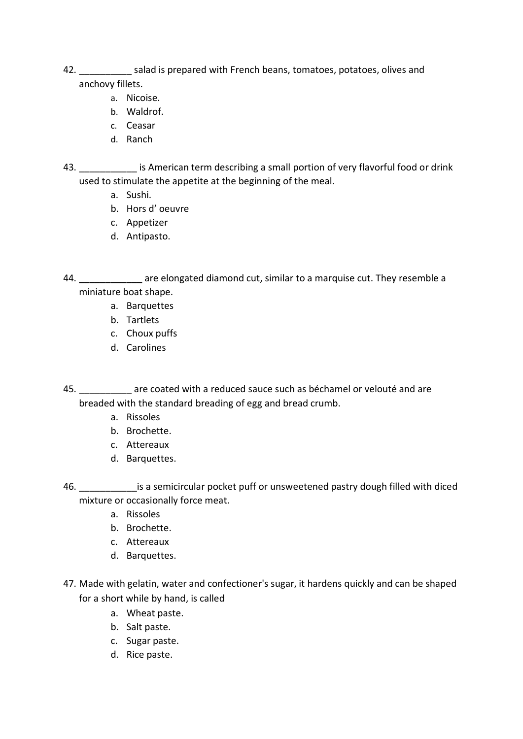- 42. \_\_\_\_\_\_\_\_\_\_ salad is prepared with French beans, tomatoes, potatoes, olives and anchovy fillets.
	- a. Nicoise.
	- b. Waldrof.
	- c. Ceasar
	- d. Ranch
- 43. \_\_\_\_\_\_\_\_\_\_\_\_\_ is American term describing a small portion of very flavorful food or drink used to stimulate the appetite at the beginning of the meal.
	- a. Sushi.
	- b. Hors d' oeuvre
	- c. Appetizer
	- d. Antipasto.
- 44. **\_\_\_\_\_\_\_\_\_\_\_\_** are elongated diamond cut, similar to a marquise cut. They resemble a miniature boat shape.
	- a. Barquettes
	- b. Tartlets
	- c. Choux puffs
	- d. Carolines
- 45. \_\_\_\_\_\_\_\_\_\_ are coated with a reduced sauce such as béchamel or velouté and are breaded with the standard breading of egg and bread crumb.
	- a. Rissoles
	- b. Brochette.
	- c. Attereaux
	- d. Barquettes.
- 46. \_\_\_\_\_\_\_\_\_\_\_is a semicircular pocket puff or unsweetened pastry dough filled with diced mixture or occasionally force meat.
	- a. Rissoles
	- b. Brochette.
	- c. Attereaux
	- d. Barquettes.
- 47. Made with gelatin, water and confectioner's sugar, it hardens quickly and can be shaped for a short while by hand, is called
	- a. Wheat paste.
	- b. Salt paste.
	- c. Sugar paste.
	- d. Rice paste.